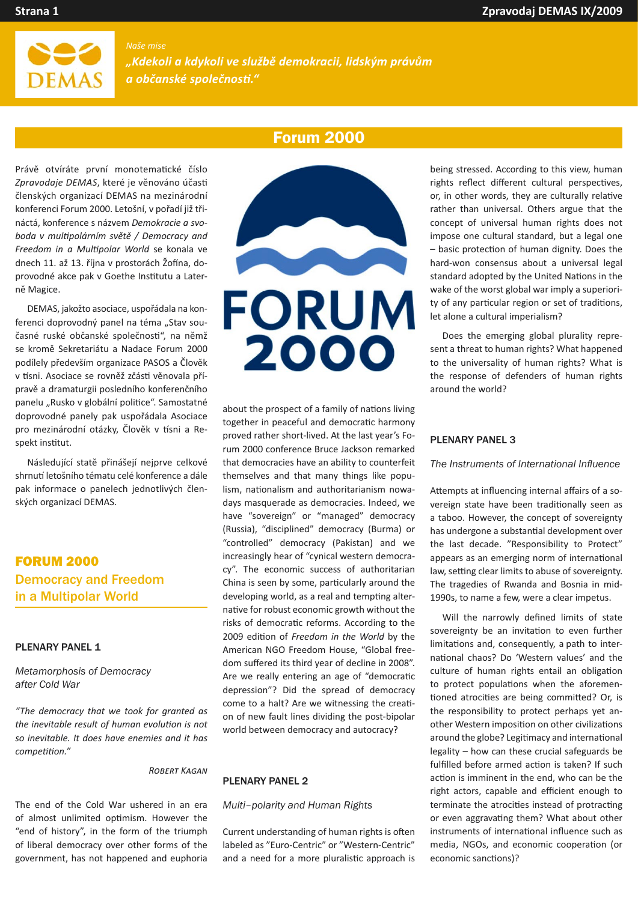

## *Naše mise*

*"Kdekoli a kdykoli ve službě demokracii, lidským právům a občanské společnos�."*

# Forum 2000

Právě otvíráte první monotema�cké číslo Zpravodaje DEMAS, které je věnováno účasti členských organizací DEMAS na mezinárodní konferenci Forum 2000. Letošní, v pořadí již třináctá, konference s názvem *Demokracie a svoboda v mul�polárním světě / Democracy and Freedom in a Mul�polar World* se konala ve dnech 11. až 13. října v prostorách Žofína, doprovodné akce pak v Goethe Institutu a Laterně Magice.

DEMAS, jakožto asociace, uspořádala na konferenci doprovodný panel na téma "Stav současné ruské občanské společnosti", na němž se kromě Sekretariátu a Nadace Forum 2000 podílely především organizace PASOS a Člověk v tísni. Asociace se rovněž zčásti věnovala přípravě a dramaturgii posledního konferenčního panelu "Rusko v globální politice". Samostatné doprovodné panely pak uspořádala Asociace pro mezinárodní otázky. Člověk v tísni a Respekt institut.

Následující statě přinášejí nejprve celkové shrnutí letošního tématu celé konference a dále pak informace o panelech jednotlivých členských organizací DEMAS.

# FORUM 2000 Democracy and Freedom in a Multipolar World

#### PLENARY PANEL 1

*Metamorphosis of Democracy after Cold War*

*"The democracy that we took for granted as the inevitable result of human evolu�on is not so inevitable. It does have enemies and it has competition."* 

## **ROBERT KAGAN**

The end of the Cold War ushered in an era of almost unlimited optimism. However the "end of history", in the form of the triumph of liberal democracy over other forms of the government, has not happened and euphoria



about the prospect of a family of nations living together in peaceful and democratic harmony proved rather short-lived. At the last year's Forum 2000 conference Bruce Jackson remarked that democracies have an ability to counterfeit themselves and that many things like populism, nationalism and authoritarianism nowadays masquerade as democracies. Indeed, we have "sovereign" or "managed" democracy (Russia), "disciplined" democracy (Burma) or "controlled" democracy (Pakistan) and we increasingly hear of "cynical western democracy". The economic success of authoritarian China is seen by some, par�cularly around the developing world, as a real and tempting alternative for robust economic growth without the risks of democratic reforms. According to the 2009 edition of *Freedom in the World* by the American NGO Freedom House, "Global freedom suffered its third year of decline in 2008". Are we really entering an age of "democratic depression"? Did the spread of democracy come to a halt? Are we witnessing the creation of new fault lines dividing the post-bipolar world between democracy and autocracy?

#### PLENARY PANEL 2

#### *Multi–polarity and Human Rights*

Current understanding of human rights is often labeled as "Euro-Centric" or "Western-Centric" and a need for a more pluralistic approach is being stressed. According to this view, human rights reflect different cultural perspectives, or, in other words, they are culturally relative rather than universal. Others argue that the concept of universal human rights does not impose one cultural standard, but a legal one – basic protec�on of human dignity. Does the hard-won consensus about a universal legal standard adopted by the United Nations in the wake of the worst global war imply a superiority of any particular region or set of traditions, let alone a cultural imperialism?

Does the emerging global plurality represent a threat to human rights? What happened to the universality of human rights? What is the response of defenders of human rights around the world?

#### PLENARY PANEL 3

#### *The Instruments of International Influence*

Attempts at influencing internal affairs of a sovereign state have been traditionally seen as a taboo. However, the concept of sovereignty has undergone a substantial development over the last decade. "Responsibility to Protect" appears as an emerging norm of international law, setting clear limits to abuse of sovereignty. The tragedies of Rwanda and Bosnia in mid-1990s, to name a few, were a clear impetus.

Will the narrowly defined limits of state sovereignty be an invitation to even further limitations and, consequently, a path to international chaos? Do 'Western values' and the culture of human rights entail an obligation to protect populations when the aforementioned atrocities are being committed? Or, is the responsibility to protect perhaps yet another Western imposition on other civilizations around the globe? Legitimacy and international legality – how can these crucial safeguards be fulfilled before armed action is taken? If such action is imminent in the end, who can be the right actors, capable and efficient enough to terminate the atrocities instead of protracting or even aggravating them? What about other instruments of international influence such as media, NGOs, and economic cooperation (or economic sanctions)?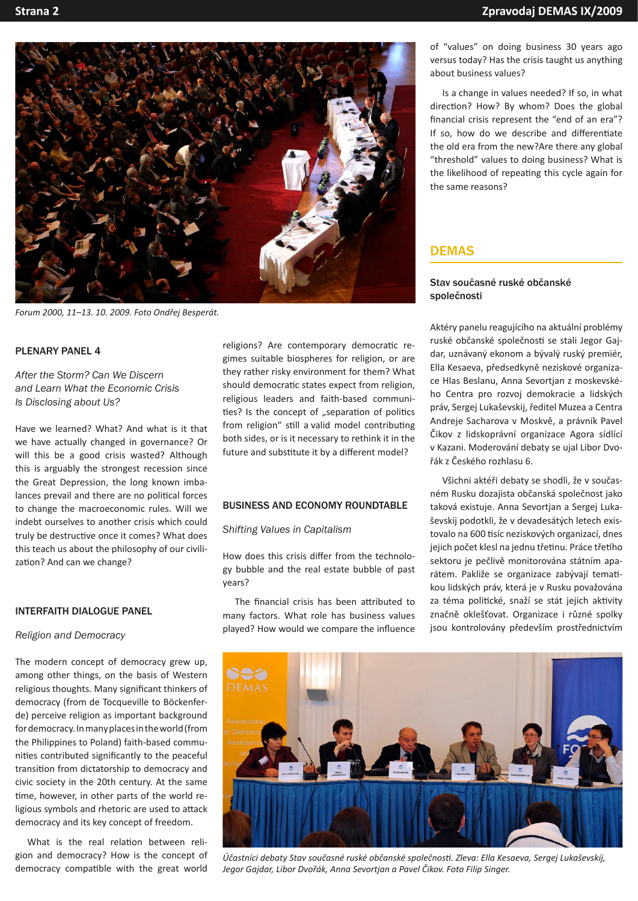

*Forum 2000, 11–13. 10. 2009. Foto Ondřej Besperát.*

## PLENARY PANEL 4

*After the Storm? Can We Discern and Learn What the Economic Crisis Is Disclosing about Us?*

Have we learned? What? And what is it that we have actually changed in governance? Or will this be a good crisis wasted? Although this is arguably the strongest recession since the Great Depression, the long known imbalances prevail and there are no political forces to change the macroeconomic rules. Will we indebt ourselves to another crisis which could truly be destructive once it comes? What does this teach us about the philosophy of our civilization? And can we change?

## INTERFAITH DIALOGUE PANEL

## *Religion and Democracy*

The modern concept of democracy grew up, among other things, on the basis of Western religious thoughts. Many significant thinkers of democracy (from de Tocqueville to Böckenferde) perceive religion as important background for democracy. In many places in the world (from the Philippines to Poland) faith-based communities contributed significantly to the peaceful transition from dictatorship to democracy and civic society in the 20th century. At the same time, however, in other parts of the world religious symbols and rhetoric are used to attack democracy and its key concept of freedom.

What is the real relation between religion and democracy? How is the concept of democracy compatible with the great world religions? Are contemporary democratic regimes suitable biospheres for religion, or are they rather risky environment for them? What should democratic states expect from religion. religious leaders and faith-based communi ties? Is the concept of "separation of politics from religion" still a valid model contributing both sides, or is it necessary to rethink it in the future and substitute it by a different model?

## BUSINESS AND ECONOMY ROUNDTABLE

*Shifting Values in Capitalism*

How does this crisis differ from the technology bubble and the real estate bubble of past years?

The financial crisis has been attributed to many factors. What role has business values played? How would we compare the influence of "values" on doing business 30 years ago versus today? Has the crisis taught us anything about business values?

Is a change in values needed? If so, in what direction? How? By whom? Does the global financial crisis represent the "end of an era"? If so, how do we describe and differentiate the old era from the new?Are there any global "threshold" values to doing business? What is the likelihood of repeating this cycle again for the same reasons?

# DEMAS

## Stav současné ruské občanské společnosti

Aktéry panelu reagujícího na aktuální problémy ruské občanské společnosti se stali Jegor Gajdar, uznávaný ekonom a bývalý ruský premiér, Ella Kesaeva, předsedkyně neziskové organizace Hlas Beslanu, Anna Sevortjan z moskevského Centra pro rozvoj demokracie a lidských práv, Sergej Lukaševskij, ředitel Muzea a Centra Andreje Sacharova v Moskvě, a právník Pavel Čikov z lidskoprávní organizace Agora sídlící v Kazani. Moderování debaty se ujal Libor Dvořák z Českého rozhlasu 6.

Všichni aktéři debaty se shodli, že v současném Rusku dozajista občanská společnost jako taková existuje. Anna Sevortjan a Sergej Lukaševskij podotkli, že v devadesátých letech existovalo na 600 tisíc neziskových organizací, dnes jejich počet klesl na jednu třetinu. Práce třetího sektoru je pečlivě monitorována státním aparátem. Pakliže se organizace zabývají tematikou lidských práv, která je v Rusku považována za téma politické, snaží se stát jejich aktivity značně oklešťovat. Organizace i různé spolky jsou kontrolovány především prostřednictvím



*Účastníci debaty Stav současné ruské občanské společnos�. Zleva: Ella Kesaeva, Sergej Lukaševskij, Jegor Gajdar, Libor Dvořák, Anna Sevortjan a Pavel Čikov. Foto Filip Singer.*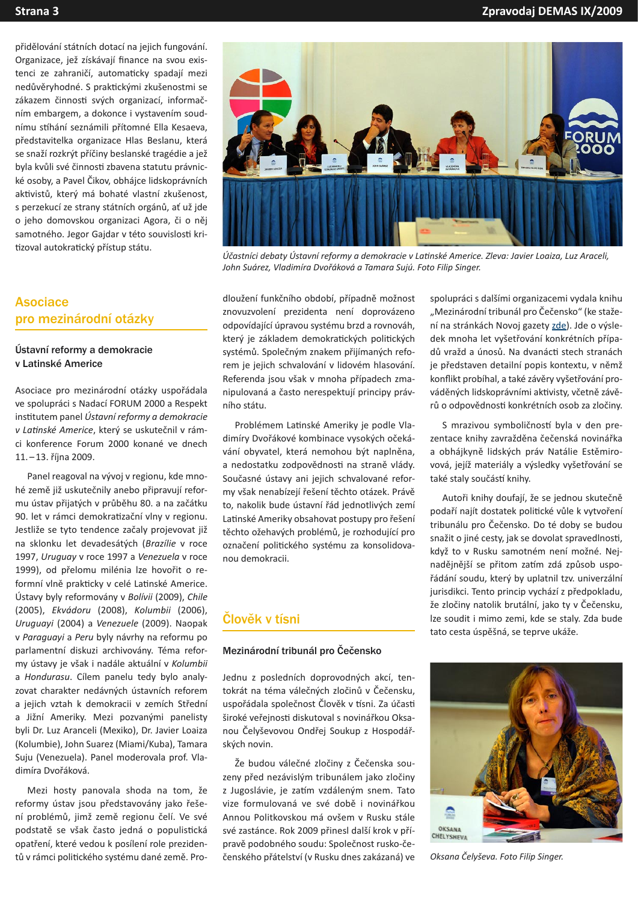přidělování státních dotací na jejich fungování. Organizace, jež získávají finance na svou existenci ze zahraničí, automaticky spadají mezi nedůvěryhodné. S praktickými zkušenostmi se zákazem činnosti svých organizací, informačním embargem, a dokonce i vystavením soudnímu stíhání seznámili přítomné Ella Kesaeva, představitelka organizace Hlas Beslanu, která se snaží rozkrýt příčiny beslanské tragédie a jež byla kvůli své činnosti zbavena statutu právnické osoby, a Pavel Čikov, obhájce lidskoprávních aktivistů, který má bohaté vlastní zkušenost, s perzekucí ze strany státních orgánů, ať už jde o jeho domovskou organizaci Agora, či o něj samotného. Jegor Gajdar v této souvislosti kritizoval autokratický přístup státu.

# Asociace pro mezinárodní otázky

### Ústavní reformy a demokracie v Latinské Americe

Asociace pro mezinárodní otázky uspořádala ve spolupráci s Nadací FORUM 2000 a Respekt ins�tutem panel *Ústavní reformy a demokracie v La�nské Americe*, který se uskutečnil v rámci konference Forum 2000 konané ve dnech 11. – 13. října 2009.

Panel reagoval na vývoj v regionu, kde mnohé země již uskutečnily anebo připravují reformu ústav přijatých v průběhu 80. a na začátku 90. let v rámci demokratizační vlny v regionu. Jestliže se tyto tendence začaly projevovat již na sklonku let devadesátých (*Brazílie* v roce 1997, *Uruguay* v roce 1997 a *Venezuela* v roce 1999), od přelomu milénia lze hovořit o reformní vlně prakticky v celé Latinské Americe. Ústavy byly reformovány v *Bolívii* (2009), *Chile*  (2005), *Ekvádoru* (2008), *Kolumbii* (2006), *Uruguayi* (2004) a *Venezuele* (2009). Naopak v *Paraguayi* a *Peru* byly návrhy na reformu po parlamentní diskuzi archivovány. Téma reformy ústavy je však i nadále aktuální v *Kolumbii*  a *Hondurasu*. Cílem panelu tedy bylo analyzovat charakter nedávných ústavních reforem a jejich vztah k demokracii v zemích Střední a Jižní Ameriky. Mezi pozvanými panelisty byli Dr. Luz Aranceli (Mexiko), Dr. Javier Loaiza (Kolumbie), John Suarez (Miami/Kuba), Tamara Suju (Venezuela). Panel moderovala prof. Vladimíra Dvořáková.

Mezi hosty panovala shoda na tom, že reformy ústav jsou představovány jako řešení problémů, jimž země regionu čelí. Ve své podstatě se však často jedná o populistická opatření, které vedou k posílení role prezidentů v rámci politického systému dané země. Pro-



*Účastníci debaty Ústavní reformy a demokracie v La�nské Americe. Zleva: Javier Loaiza, Luz Araceli, John Suárez, Vladimíra Dvořáková a Tamara Sujú. Foto Filip Singer.*

dloužení funkčního období, případně možnost znovuzvolení prezidenta není doprovázeno odpovídající úpravou systému brzd a rovnováh, který je základem demokratických politických systémů. Společným znakem přijímaných reforem je jejich schvalování v lidovém hlasování. Referenda jsou však v mnoha případech zmanipulovaná a často nerespektují principy právního státu.

Problémem Latinské Ameriky je podle Vladimíry Dvořákové kombinace vysokých očekávání obyvatel, která nemohou být naplněna, a nedostatku zodpovědnosti na straně vlády. Současné ústavy ani jejich schvalované reformy však nenabízejí řešení těchto otázek. Právě to, nakolik bude ústavní řád jednotlivých zemí Latinské Ameriky obsahovat postupy pro řešení těchto ožehavých problémů, je rozhodující pro označení poli�ckého systému za konsolidovanou demokracii.

# Člověk v tísni

#### Mezinárodní tribunál pro Čečensko

Jednu z posledních doprovodných akcí, tentokrát na téma válečných zločinů v Čečensku, uspořádala společnost Člověk v tísni. Za účasti široké veřejnosti diskutoval s novinářkou Oksanou Čelyševovou Ondřej Soukup z Hospodářských novin.

Že budou válečné zločiny z Čečenska souzeny před nezávislým tribunálem jako zločiny z Jugoslávie, je zatím vzdáleným snem. Tato vize formulovaná ve své době i novinářkou Annou Politkovskou má ovšem v Rusku stále své zastánce. Rok 2009 přinesl další krok v přípravě podobného soudu: Společnost rusko-čečenského přátelství (v Rusku dnes zakázaná) ve spolupráci s dalšími organizacemi vydala knihu "Mezinárodní tribunál pro Čečensko" (ke stažení na stránkách Novoj gazety [zde\)](http://www.novayagazeta.ru/data/2009/079/21.html). Jde o výsledek mnoha let vyšetřování konkrétních případů vražd a únosů. Na dvanácti stech stranách je představen detailní popis kontextu, v němž konflikt probíhal, a také závěry vyšetřování prováděných lidskoprávními aktivisty, včetně závěrů o odpovědnosti konkrétních osob za zločiny.

S mrazivou symboličností byla v den prezentace knihy zavražděna čečenská novinářka a obhájkyně lidských práv Natálie Estěmirovová, jejíž materiály a výsledky vyšetřování se také staly součástí knihy.

Autoři knihy doufají, že se jednou skutečně podaří najít dostatek politické vůle k vytvoření tribunálu pro Čečensko. Do té doby se budou snažit o jiné cesty, jak se dovolat spravedlnosti, když to v Rusku samotném není možné. Nejnadějnější se přitom zatím zdá způsob uspořádání soudu, který by uplatnil tzv. univerzální jurisdikci. Tento princip vychází z předpokladu, že zločiny natolik brutální, jako ty v Čečensku, lze soudit i mimo zemi, kde se staly. Zda bude tato cesta úspěšná, se teprve ukáže.



*Oksana Čelyševa. Foto Filip Singer.*